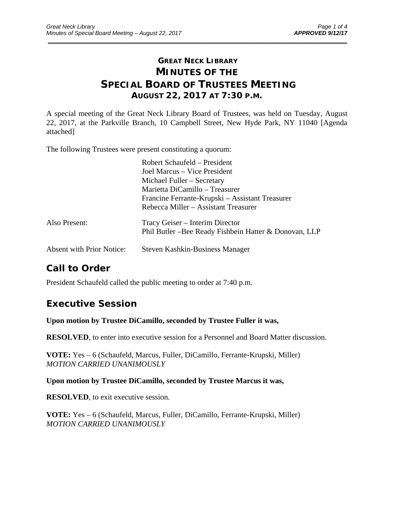## **GREAT NECK LIBRARY MINUTES OF THE SPECIAL BOARD OF TRUSTEES MEETING AUGUST 22, 2017 AT 7:30 P.M.**

\_\_\_\_\_\_\_\_\_\_\_\_\_\_\_\_\_\_\_\_\_\_\_\_\_\_\_\_\_\_\_\_\_\_\_\_\_\_\_\_\_\_\_\_\_\_\_\_\_\_\_\_\_\_\_\_\_\_\_\_\_\_\_\_\_\_\_\_\_\_\_\_\_\_\_\_\_\_\_\_\_\_\_\_\_\_\_\_\_\_\_\_\_

A special meeting of the Great Neck Library Board of Trustees, was held on Tuesday, August 22, 2017, at the Parkville Branch, 10 Campbell Street, New Hyde Park, NY 11040 [Agenda attached]

The following Trustees were present constituting a quorum:

|                                  | Robert Schaufeld – President<br>Joel Marcus – Vice President<br>Michael Fuller – Secretary<br>Marietta DiCamillo – Treasurer<br>Francine Ferrante-Krupski – Assistant Treasurer<br>Rebecca Miller – Assistant Treasurer |
|----------------------------------|-------------------------------------------------------------------------------------------------------------------------------------------------------------------------------------------------------------------------|
| Also Present:                    | Tracy Geiser – Interim Director<br>Phil Butler – Bee Ready Fishbein Hatter & Donovan, LLP                                                                                                                               |
| <b>Absent with Prior Notice:</b> | Steven Kashkin-Business Manager                                                                                                                                                                                         |

# **Call to Order**

President Schaufeld called the public meeting to order at 7:40 p.m.

## **Executive Session**

**Upon motion by Trustee DiCamillo, seconded by Trustee Fuller it was,** 

**RESOLVED**, to enter into executive session for a Personnel and Board Matter discussion.

**VOTE:** Yes – 6 (Schaufeld, Marcus, Fuller, DiCamillo, Ferrante-Krupski, Miller) *MOTION CARRIED UNANIMOUSLY* 

**Upon motion by Trustee DiCamillo, seconded by Trustee Marcus it was,** 

**RESOLVED**, to exit executive session.

**VOTE:** Yes – 6 (Schaufeld, Marcus, Fuller, DiCamillo, Ferrante-Krupski, Miller) *MOTION CARRIED UNANIMOUSLY*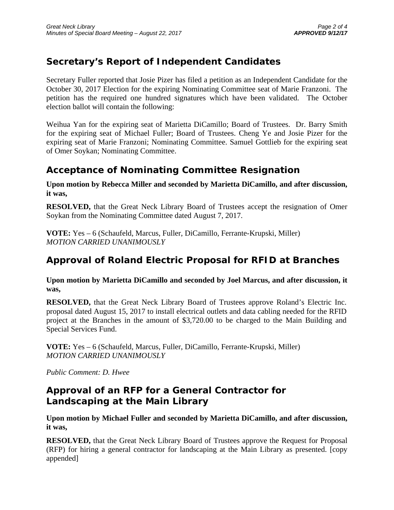# **Secretary's Report of Independent Candidates**

Secretary Fuller reported that Josie Pizer has filed a petition as an Independent Candidate for the October 30, 2017 Election for the expiring Nominating Committee seat of Marie Franzoni. The petition has the required one hundred signatures which have been validated. The October election ballot will contain the following:

Weihua Yan for the expiring seat of Marietta DiCamillo; Board of Trustees. Dr. Barry Smith for the expiring seat of Michael Fuller; Board of Trustees. Cheng Ye and Josie Pizer for the expiring seat of Marie Franzoni; Nominating Committee. Samuel Gottlieb for the expiring seat of Omer Soykan; Nominating Committee.

### **Acceptance of Nominating Committee Resignation**

**Upon motion by Rebecca Miller and seconded by Marietta DiCamillo, and after discussion, it was,** 

**RESOLVED,** that the Great Neck Library Board of Trustees accept the resignation of Omer Soykan from the Nominating Committee dated August 7, 2017.

**VOTE:** Yes – 6 (Schaufeld, Marcus, Fuller, DiCamillo, Ferrante-Krupski, Miller) *MOTION CARRIED UNANIMOUSLY* 

## **Approval of Roland Electric Proposal for RFID at Branches**

**Upon motion by Marietta DiCamillo and seconded by Joel Marcus, and after discussion, it was,** 

**RESOLVED,** that the Great Neck Library Board of Trustees approve Roland's Electric Inc. proposal dated August 15, 2017 to install electrical outlets and data cabling needed for the RFID project at the Branches in the amount of \$3,720.00 to be charged to the Main Building and Special Services Fund.

**VOTE:** Yes – 6 (Schaufeld, Marcus, Fuller, DiCamillo, Ferrante-Krupski, Miller) *MOTION CARRIED UNANIMOUSLY* 

*Public Comment: D. Hwee* 

## **Approval of an RFP for a General Contractor for Landscaping at the Main Library**

**Upon motion by Michael Fuller and seconded by Marietta DiCamillo, and after discussion, it was,** 

**RESOLVED,** that the Great Neck Library Board of Trustees approve the Request for Proposal (RFP) for hiring a general contractor for landscaping at the Main Library as presented. [copy appended]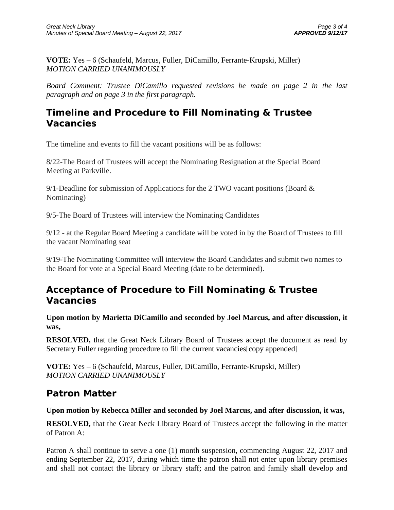**VOTE:** Yes – 6 (Schaufeld, Marcus, Fuller, DiCamillo, Ferrante-Krupski, Miller) *MOTION CARRIED UNANIMOUSLY* 

*Board Comment: Trustee DiCamillo requested revisions be made on page 2 in the last paragraph and on page 3 in the first paragraph.* 

### **Timeline and Procedure to Fill Nominating & Trustee Vacancies**

The timeline and events to fill the vacant positions will be as follows:

8/22-The Board of Trustees will accept the Nominating Resignation at the Special Board Meeting at Parkville.

9/1-Deadline for submission of Applications for the 2 TWO vacant positions (Board & Nominating)

9/5-The Board of Trustees will interview the Nominating Candidates

9/12 - at the Regular Board Meeting a candidate will be voted in by the Board of Trustees to fill the vacant Nominating seat

9/19-The Nominating Committee will interview the Board Candidates and submit two names to the Board for vote at a Special Board Meeting (date to be determined).

## **Acceptance of Procedure to Fill Nominating & Trustee Vacancies**

**Upon motion by Marietta DiCamillo and seconded by Joel Marcus, and after discussion, it was,** 

**RESOLVED,** that the Great Neck Library Board of Trustees accept the document as read by Secretary Fuller regarding procedure to fill the current vacancies [copy appended]

**VOTE:** Yes – 6 (Schaufeld, Marcus, Fuller, DiCamillo, Ferrante-Krupski, Miller) *MOTION CARRIED UNANIMOUSLY* 

### **Patron Matter**

#### **Upon motion by Rebecca Miller and seconded by Joel Marcus, and after discussion, it was,**

**RESOLVED,** that the Great Neck Library Board of Trustees accept the following in the matter of Patron A:

Patron A shall continue to serve a one (1) month suspension, commencing August 22, 2017 and ending September 22, 2017, during which time the patron shall not enter upon library premises and shall not contact the library or library staff; and the patron and family shall develop and